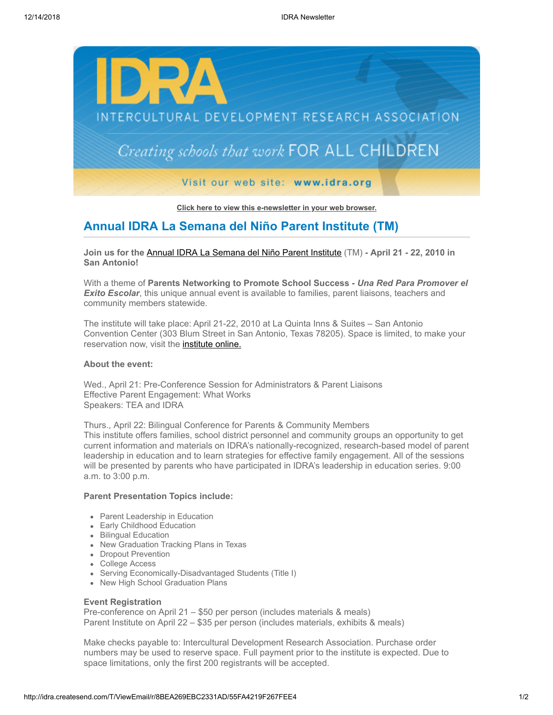

**[Click here to view this e-newsletter in your web browser.](http://idra.createsend1.com/t/r/e/oxilj/uyyhilh/)**

# **Annual IDRA La Semana del Niño Parent Institute (TM)**

**Join us for the** [Annual IDRA La Semana del Niño Parent Institute](http://idra.createsend1.com/t/r/l/oxilj/uyyhilh/y) (TM) **- April 21 - 22, 2010 in San Antonio!**

With a theme of **Parents Networking to Promote School Success -** *Una Red Para Promover el* **Exito Escolar**, this unique annual event is available to families, parent liaisons, teachers and community members statewide.

The institute will take place: April 21-22, 2010 at La Quinta Inns & Suites – San Antonio Convention Center (303 Blum Street in San Antonio, Texas 78205). Space is limited, to make your reservation now, visit the **institute online.** 

### **About the event:**

Wed., April 21: Pre-Conference Session for Administrators & Parent Liaisons Effective Parent Engagement: What Works Speakers: TEA and IDRA

Thurs., April 22: Bilingual Conference for Parents & Community Members This institute offers families, school district personnel and community groups an opportunity to get current information and materials on IDRA's nationally-recognized, research-based model of parent leadership in education and to learn strategies for effective family engagement. All of the sessions will be presented by parents who have participated in IDRA's leadership in education series. 9:00 a.m. to 3:00 p.m.

## **Parent Presentation Topics include:**

- Parent Leadership in Education
- Early Childhood Education
- Bilingual Education
- New Graduation Tracking Plans in Texas
- Dropout Prevention
- College Access
- Serving Economically-Disadvantaged Students (Title I)
- New High School Graduation Plans

### **Event Registration**

Pre-conference on April 21 – \$50 per person (includes materials & meals) Parent Institute on April 22 – \$35 per person (includes materials, exhibits & meals)

Make checks payable to: Intercultural Development Research Association. Purchase order numbers may be used to reserve space. Full payment prior to the institute is expected. Due to space limitations, only the first 200 registrants will be accepted.